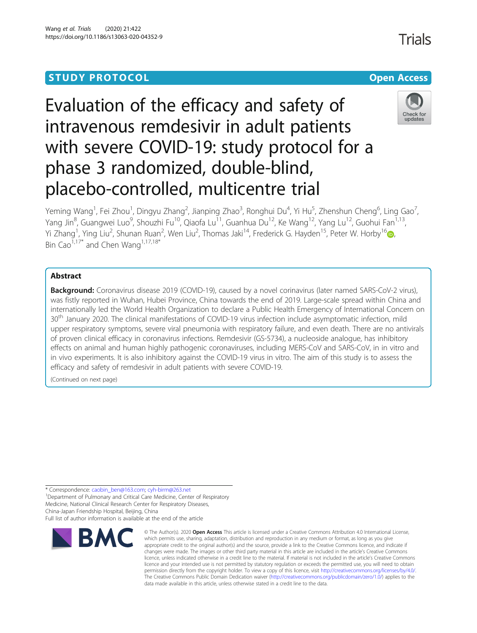## **STUDY PROTOCOL CONSUMING THE CONSUMING OPEN ACCESS**

Trials

# Check for updates

Yeming Wang<sup>1</sup>, Fei Zhou<sup>1</sup>, Dingyu Zhang<sup>2</sup>, Jianping Zhao<sup>3</sup>, Ronghui Du<sup>4</sup>, Yi Hu<sup>5</sup>, Zhenshun Cheng<sup>6</sup>, Ling Gao<sup>7</sup> , Yang Jin<sup>8</sup>, Guangwei Luo<sup>9</sup>, Shouzhi Fu<sup>10</sup>, Qiaofa Lu<sup>11</sup>, Guanhua Du<sup>12</sup>, Ke Wang<sup>12</sup>, Yang Lu<sup>12</sup>, Guohui Fan<sup>1,13</sup>, Yi Zhang<sup>1</sup>, Ying Liu<sup>2</sup>, Shunan Ruan<sup>2</sup>, Wen Liu<sup>2</sup>, Thomas Jaki<sup>14</sup>, Frederick G. Hayden<sup>15</sup>, Peter W. Horby<sup>1[6](http://orcid.org/0000-0002-9822-1586)</sup>@, Bin Cao<sup>1,17\*</sup> and Chen Wang<sup>1,17,18\*</sup>

Evaluation of the efficacy and safety of

intravenous remdesivir in adult patients

phase 3 randomized, double-blind,

placebo-controlled, multicentre trial

with severe COVID-19: study protocol for a

### Abstract

Background: Coronavirus disease 2019 (COVID-19), caused by a novel corinavirus (later named SARS-CoV-2 virus), was fistly reported in Wuhan, Hubei Province, China towards the end of 2019. Large-scale spread within China and internationally led the World Health Organization to declare a Public Health Emergency of International Concern on 30<sup>th</sup> January 2020. The clinical manifestations of COVID-19 virus infection include asymptomatic infection, mild upper respiratory symptoms, severe viral pneumonia with respiratory failure, and even death. There are no antivirals of proven clinical efficacy in coronavirus infections. Remdesivir (GS-5734), a nucleoside analogue, has inhibitory effects on animal and human highly pathogenic coronaviruses, including MERS-CoV and SARS-CoV, in in vitro and in vivo experiments. It is also inhibitory against the COVID-19 virus in vitro. The aim of this study is to assess the efficacy and safety of remdesivir in adult patients with severe COVID-19.

(Continued on next page)

\* Correspondence: [caobin\\_ben@163.com;](mailto:caobin_ben@163.com) [cyh-birm@263.net](mailto:cyh-birm@263.net) <sup>1</sup>

<sup>1</sup>Department of Pulmonary and Critical Care Medicine, Center of Respiratory Medicine, National Clinical Research Center for Respiratory Diseases, China-Japan Friendship Hospital, Beijing, China

Full list of author information is available at the end of the article



<sup>©</sup> The Author(s), 2020 **Open Access** This article is licensed under a Creative Commons Attribution 4.0 International License, which permits use, sharing, adaptation, distribution and reproduction in any medium or format, as long as you give appropriate credit to the original author(s) and the source, provide a link to the Creative Commons licence, and indicate if changes were made. The images or other third party material in this article are included in the article's Creative Commons licence, unless indicated otherwise in a credit line to the material. If material is not included in the article's Creative Commons licence and your intended use is not permitted by statutory regulation or exceeds the permitted use, you will need to obtain permission directly from the copyright holder. To view a copy of this licence, visit [http://creativecommons.org/licenses/by/4.0/.](http://creativecommons.org/licenses/by/4.0/) The Creative Commons Public Domain Dedication waiver [\(http://creativecommons.org/publicdomain/zero/1.0/](http://creativecommons.org/publicdomain/zero/1.0/)) applies to the data made available in this article, unless otherwise stated in a credit line to the data.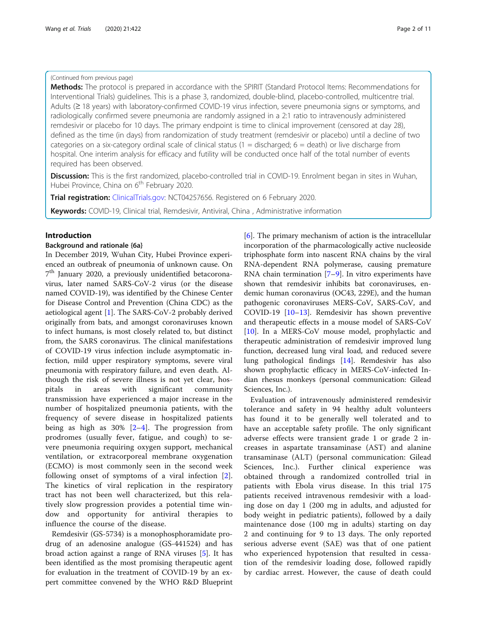### (Continued from previous page)

Methods: The protocol is prepared in accordance with the SPIRIT (Standard Protocol Items: Recommendations for Interventional Trials) guidelines. This is a phase 3, randomized, double-blind, placebo-controlled, multicentre trial. Adults (≥ 18 years) with laboratory-confirmed COVID-19 virus infection, severe pneumonia signs or symptoms, and radiologically confirmed severe pneumonia are randomly assigned in a 2:1 ratio to intravenously administered remdesivir or placebo for 10 days. The primary endpoint is time to clinical improvement (censored at day 28), defined as the time (in days) from randomization of study treatment (remdesivir or placebo) until a decline of two categories on a six-category ordinal scale of clinical status  $(1 = \text{discharged}; 6 = \text{death})$  or live discharge from hospital. One interim analysis for efficacy and futility will be conducted once half of the total number of events required has been observed.

Discussion: This is the first randomized, placebo-controlled trial in COVID-19. Enrolment began in sites in Wuhan, Hubei Province, China on 6<sup>th</sup> February 2020.

Trial registration: [ClinicalTrials.gov](http://clinicaltrials.gov): NCT04257656. Registered on 6 February 2020.

Keywords: COVID-19, Clinical trial, Remdesivir, Antiviral, China, Administrative information

### Introduction

### Background and rationale {6a}

In December 2019, Wuhan City, Hubei Province experienced an outbreak of pneumonia of unknown cause. On 7<sup>th</sup> January 2020, a previously unidentified betacoronavirus, later named SARS-CoV-2 virus (or the disease named COVID-19), was identified by the Chinese Center for Disease Control and Prevention (China CDC) as the aetiological agent [[1](#page-10-0)]. The SARS-CoV-2 probably derived originally from bats, and amongst coronaviruses known to infect humans, is most closely related to, but distinct from, the SARS coronavirus. The clinical manifestations of COVID-19 virus infection include asymptomatic infection, mild upper respiratory symptoms, severe viral pneumonia with respiratory failure, and even death. Although the risk of severe illness is not yet clear, hospitals in areas with significant community transmission have experienced a major increase in the number of hospitalized pneumonia patients, with the frequency of severe disease in hospitalized patients being as high as  $30\%$   $[2-4]$  $[2-4]$  $[2-4]$  $[2-4]$ . The progression from prodromes (usually fever, fatigue, and cough) to severe pneumonia requiring oxygen support, mechanical ventilation, or extracorporeal membrane oxygenation (ECMO) is most commonly seen in the second week following onset of symptoms of a viral infection [\[2](#page-10-0)]. The kinetics of viral replication in the respiratory tract has not been well characterized, but this relatively slow progression provides a potential time window and opportunity for antiviral therapies to influence the course of the disease.

Remdesivir (GS-5734) is a monophosphoramidate prodrug of an adenosine analogue (GS-441524) and has broad action against a range of RNA viruses [\[5](#page-10-0)]. It has been identified as the most promising therapeutic agent for evaluation in the treatment of COVID-19 by an expert committee convened by the WHO R&D Blueprint

[[6\]](#page-10-0). The primary mechanism of action is the intracellular incorporation of the pharmacologically active nucleoside triphosphate form into nascent RNA chains by the viral RNA-dependent RNA polymerase, causing premature RNA chain termination [\[7](#page-10-0)–[9\]](#page-10-0). In vitro experiments have shown that remdesivir inhibits bat coronaviruses, endemic human coronavirus (OC43, 229E), and the human pathogenic coronaviruses MERS-CoV, SARS-CoV, and COVID-19 [\[10](#page-10-0)–[13\]](#page-10-0). Remdesivir has shown preventive and therapeutic effects in a mouse model of SARS-CoV [[10\]](#page-10-0). In a MERS-CoV mouse model, prophylactic and therapeutic administration of remdesivir improved lung function, decreased lung viral load, and reduced severe lung pathological findings [\[14](#page-10-0)]. Remdesivir has also shown prophylactic efficacy in MERS-CoV-infected Indian rhesus monkeys (personal communication: Gilead Sciences, Inc.).

Evaluation of intravenously administered remdesivir tolerance and safety in 94 healthy adult volunteers has found it to be generally well tolerated and to have an acceptable safety profile. The only significant adverse effects were transient grade 1 or grade 2 increases in aspartate transaminase (AST) and alanine transaminase (ALT) (personal communication: Gilead Sciences, Inc.). Further clinical experience was obtained through a randomized controlled trial in patients with Ebola virus disease. In this trial 175 patients received intravenous remdesivir with a loading dose on day 1 (200 mg in adults, and adjusted for body weight in pediatric patients), followed by a daily maintenance dose (100 mg in adults) starting on day 2 and continuing for 9 to 13 days. The only reported serious adverse event (SAE) was that of one patient who experienced hypotension that resulted in cessation of the remdesivir loading dose, followed rapidly by cardiac arrest. However, the cause of death could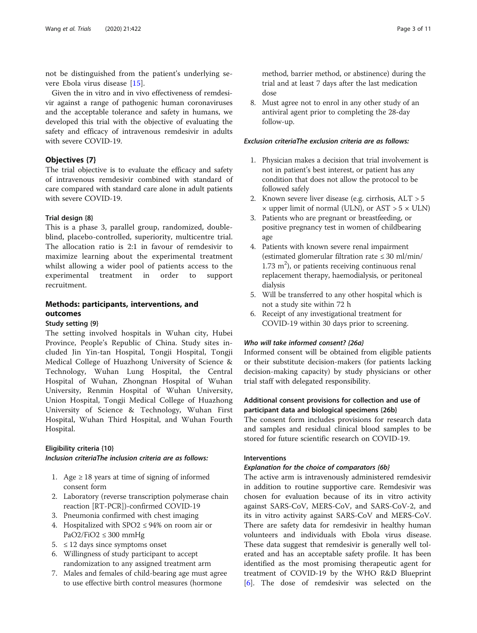not be distinguished from the patient's underlying severe Ebola virus disease [[15\]](#page-10-0).

Given the in vitro and in vivo effectiveness of remdesivir against a range of pathogenic human coronaviruses and the acceptable tolerance and safety in humans, we developed this trial with the objective of evaluating the safety and efficacy of intravenous remdesivir in adults with severe COVID-19.

### Objectives {7}

The trial objective is to evaluate the efficacy and safety of intravenous remdesivir combined with standard of care compared with standard care alone in adult patients with severe COVID-19.

### Trial design {8}

This is a phase 3, parallel group, randomized, doubleblind, placebo-controlled, superiority, multicentre trial. The allocation ratio is 2:1 in favour of remdesivir to maximize learning about the experimental treatment whilst allowing a wider pool of patients access to the experimental treatment in order to support recruitment.

### Methods: participants, interventions, and outcomes

### Study setting {9}

The setting involved hospitals in Wuhan city, Hubei Province, People's Republic of China. Study sites included Jin Yin-tan Hospital, Tongji Hospital, Tongji Medical College of Huazhong University of Science & Technology, Wuhan Lung Hospital, the Central Hospital of Wuhan, Zhongnan Hospital of Wuhan University, Renmin Hospital of Wuhan University, Union Hospital, Tongji Medical College of Huazhong University of Science & Technology, Wuhan First Hospital, Wuhan Third Hospital, and Wuhan Fourth Hospital.

### Eligibility criteria {10}

Inclusion criteriaThe inclusion criteria are as follows:

- 1. Age ≥ 18 years at time of signing of informed consent form
- 2. Laboratory (reverse transcription polymerase chain reaction [RT-PCR])-confirmed COVID-19
- 3. Pneumonia confirmed with chest imaging
- 4. Hospitalized with SPO2 ≤ 94% on room air or PaO2/FiO2  $\leq$  300 mmHg
- 5.  $\leq$  12 days since symptoms onset
- 6. Willingness of study participant to accept randomization to any assigned treatment arm
- 7. Males and females of child-bearing age must agree to use effective birth control measures (hormone

method, barrier method, or abstinence) during the trial and at least 7 days after the last medication dose

8. Must agree not to enrol in any other study of an antiviral agent prior to completing the 28-day follow-up.

### Exclusion criteriaThe exclusion criteria are as follows:

- 1. Physician makes a decision that trial involvement is not in patient's best interest, or patient has any condition that does not allow the protocol to be followed safely
- 2. Known severe liver disease (e.g. cirrhosis, ALT > 5  $\times$  upper limit of normal (ULN), or AST  $> 5 \times$  ULN)
- 3. Patients who are pregnant or breastfeeding, or positive pregnancy test in women of childbearing age
- 4. Patients with known severe renal impairment (estimated glomerular filtration rate ≤ 30 ml/min/  $1.73 \text{ m}^2$ ), or patients receiving continuous renal replacement therapy, haemodialysis, or peritoneal dialysis
- 5. Will be transferred to any other hospital which is not a study site within 72 h
- 6. Receipt of any investigational treatment for COVID-19 within 30 days prior to screening.

### Who will take informed consent? {26a}

Informed consent will be obtained from eligible patients or their substitute decision-makers (for patients lacking decision-making capacity) by study physicians or other trial staff with delegated responsibility.

### Additional consent provisions for collection and use of participant data and biological specimens {26b}

The consent form includes provisions for research data and samples and residual clinical blood samples to be stored for future scientific research on COVID-19.

### Interventions

### Explanation for the choice of comparators {6b}

The active arm is intravenously administered remdesivir in addition to routine supportive care. Remdesivir was chosen for evaluation because of its in vitro activity against SARS-CoV, MERS-CoV, and SARS-CoV-2, and its in vitro activity against SARS-CoV and MERS-CoV. There are safety data for remdesivir in healthy human volunteers and individuals with Ebola virus disease. These data suggest that remdesivir is generally well tolerated and has an acceptable safety profile. It has been identified as the most promising therapeutic agent for treatment of COVID-19 by the WHO R&D Blueprint [[6\]](#page-10-0). The dose of remdesivir was selected on the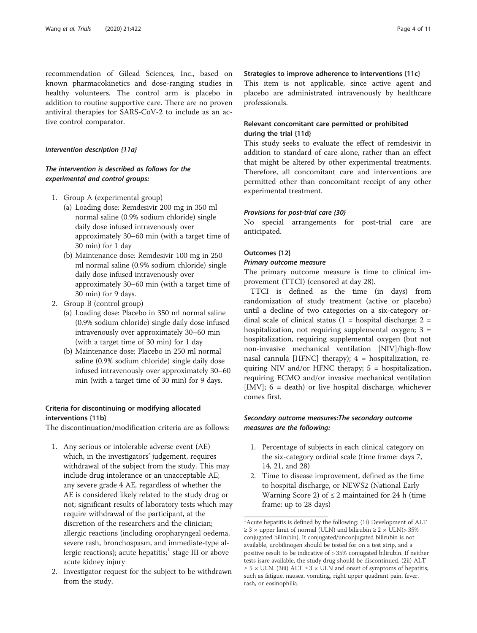recommendation of Gilead Sciences, Inc., based on known pharmacokinetics and dose-ranging studies in healthy volunteers. The control arm is placebo in addition to routine supportive care. There are no proven antiviral therapies for SARS-CoV-2 to include as an active control comparator.

### Intervention description {11a}

### The intervention is described as follows for the experimental and control groups:

- 1. Group A (experimental group)
	- (a) Loading dose: Remdesivir 200 mg in 350 ml normal saline (0.9% sodium chloride) single daily dose infused intravenously over approximately 30–60 min (with a target time of 30 min) for 1 day
	- (b) Maintenance dose: Remdesivir 100 mg in 250 ml normal saline (0.9% sodium chloride) single daily dose infused intravenously over approximately 30–60 min (with a target time of 30 min) for 9 days.
- 2. Group B (control group)
	- (a) Loading dose: Placebo in 350 ml normal saline (0.9% sodium chloride) single daily dose infused intravenously over approximately 30–60 min (with a target time of 30 min) for 1 day
	- (b) Maintenance dose: Placebo in 250 ml normal saline (0.9% sodium chloride) single daily dose infused intravenously over approximately 30–60 min (with a target time of 30 min) for 9 days.

### Criteria for discontinuing or modifying allocated interventions {11b}

The discontinuation/modification criteria are as follows:

- 1. Any serious or intolerable adverse event (AE) which, in the investigators' judgement, requires withdrawal of the subject from the study. This may include drug intolerance or an unacceptable AE; any severe grade 4 AE, regardless of whether the AE is considered likely related to the study drug or not; significant results of laboratory tests which may require withdrawal of the participant, at the discretion of the researchers and the clinician; allergic reactions (including oropharyngeal oedema, severe rash, bronchospasm, and immediate-type allergic reactions); acute hepatitis; $<sup>1</sup>$  stage III or above</sup> acute kidney injury
- 2. Investigator request for the subject to be withdrawn from the study.

placebo are administrated intravenously by healthcare professionals.

### Relevant concomitant care permitted or prohibited during the trial {11d}

This study seeks to evaluate the effect of remdesivir in addition to standard of care alone, rather than an effect that might be altered by other experimental treatments. Therefore, all concomitant care and interventions are permitted other than concomitant receipt of any other experimental treatment.

### Provisions for post-trial care {30}

No special arrangements for post-trial care are anticipated.

### Outcomes {12}

### Primary outcome measure

The primary outcome measure is time to clinical improvement (TTCI) (censored at day 28).

TTCI is defined as the time (in days) from randomization of study treatment (active or placebo) until a decline of two categories on a six-category ordinal scale of clinical status  $(1 = \text{hospital discharge}; 2 =$ hospitalization, not requiring supplemental oxygen;  $3 =$ hospitalization, requiring supplemental oxygen (but not non-invasive mechanical ventilation [NIV]/high-flow nasal cannula [HFNC] therapy);  $4 =$  hospitalization, requiring NIV and/or HFNC therapy;  $5 =$  hospitalization, requiring ECMO and/or invasive mechanical ventilation [IMV]; 6 = death) or live hospital discharge, whichever comes first.

### Secondary outcome measures:The secondary outcome measures are the following:

- 1. Percentage of subjects in each clinical category on the six-category ordinal scale (time frame: days 7, 14, 21, and 28)
- 2. Time to disease improvement, defined as the time to hospital discharge, or NEWS2 (National Early Warning Score 2) of  $\leq$  2 maintained for 24 h (time frame: up to 28 days)

<sup>&</sup>lt;sup>1</sup> Acute hepatitis is defined by the following: (1i) Development of ALT  $\geq$  3 × upper limit of normal (ULN) and bilirubin  $\geq$  2 × ULN( $>$  35% conjugated bilirubin). If conjugated/unconjugated bilirubin is not available, urobilinogen should be tested for on a test strip, and a positive result to be indicative of > 35% conjugated bilirubin. If neither tests isare available, the study drug should be discontinued. (2ii) ALT  $\geq$  5 × ULN. (3iii) ALT  $\geq$  3 × ULN and onset of symptoms of hepatitis, such as fatigue, nausea, vomiting, right upper quadrant pain, fever, rash, or eosinophilia.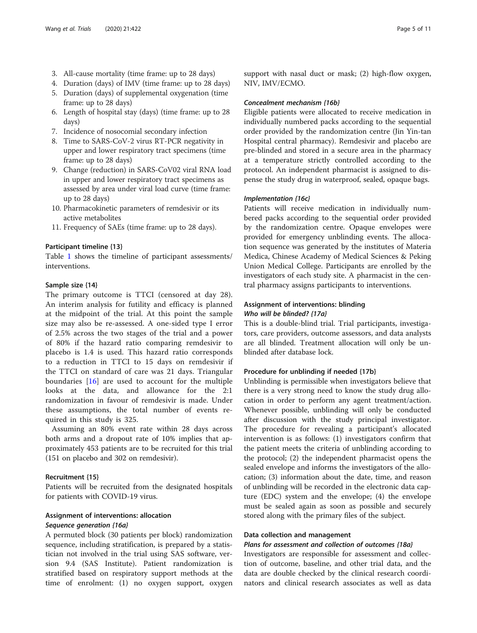- 4. Duration (days) of IMV (time frame: up to 28 days)
- 5. Duration (days) of supplemental oxygenation (time frame: up to 28 days)
- 6. Length of hospital stay (days) (time frame: up to 28 days)
- 7. Incidence of nosocomial secondary infection
- 8. Time to SARS-CoV-2 virus RT-PCR negativity in upper and lower respiratory tract specimens (time frame: up to 28 days)
- 9. Change (reduction) in SARS-CoV02 viral RNA load in upper and lower respiratory tract specimens as assessed by area under viral load curve (time frame: up to 28 days)
- 10. Pharmacokinetic parameters of remdesivir or its active metabolites
- 11. Frequency of SAEs (time frame: up to 28 days).

### Participant timeline {13}

Table [1](#page-5-0) shows the timeline of participant assessments/ interventions.

### Sample size {14}

The primary outcome is TTCI (censored at day 28). An interim analysis for futility and efficacy is planned at the midpoint of the trial. At this point the sample size may also be re-assessed. A one-sided type I error of 2.5% across the two stages of the trial and a power of 80% if the hazard ratio comparing remdesivir to placebo is 1.4 is used. This hazard ratio corresponds to a reduction in TTCI to 15 days on remdesivir if the TTCI on standard of care was 21 days. Triangular boundaries [[16\]](#page-10-0) are used to account for the multiple looks at the data, and allowance for the 2:1 randomization in favour of remdesivir is made. Under these assumptions, the total number of events required in this study is 325.

Assuming an 80% event rate within 28 days across both arms and a dropout rate of 10% implies that approximately 453 patients are to be recruited for this trial (151 on placebo and 302 on remdesivir).

### Recruitment {15}

Patients will be recruited from the designated hospitals for patients with COVID-19 virus.

### Assignment of interventions: allocation Sequence generation {16a}

A permuted block (30 patients per block) randomization sequence, including stratification, is prepared by a statistician not involved in the trial using SAS software, version 9.4 (SAS Institute). Patient randomization is stratified based on respiratory support methods at the time of enrolment: (1) no oxygen support, oxygen support with nasal duct or mask; (2) high-flow oxygen, NIV, IMV/ECMO.

#### Concealment mechanism {16b}

Eligible patients were allocated to receive medication in individually numbered packs according to the sequential order provided by the randomization centre (Jin Yin-tan Hospital central pharmacy). Remdesivir and placebo are pre-blinded and stored in a secure area in the pharmacy at a temperature strictly controlled according to the protocol. An independent pharmacist is assigned to dispense the study drug in waterproof, sealed, opaque bags.

#### Implementation {16c}

Patients will receive medication in individually numbered packs according to the sequential order provided by the randomization centre. Opaque envelopes were provided for emergency unblinding events. The allocation sequence was generated by the institutes of Materia Medica, Chinese Academy of Medical Sciences & Peking Union Medical College. Participants are enrolled by the investigators of each study site. A pharmacist in the central pharmacy assigns participants to interventions.

### Assignment of interventions: blinding Who will be blinded? {17a}

This is a double-blind trial. Trial participants, investigators, care providers, outcome assessors, and data analysts are all blinded. Treatment allocation will only be unblinded after database lock.

### Procedure for unblinding if needed {17b}

Unblinding is permissible when investigators believe that there is a very strong need to know the study drug allocation in order to perform any agent treatment/action. Whenever possible, unblinding will only be conducted after discussion with the study principal investigator. The procedure for revealing a participant's allocated intervention is as follows: (1) investigators confirm that the patient meets the criteria of unblinding according to the protocol; (2) the independent pharmacist opens the sealed envelope and informs the investigators of the allocation; (3) information about the date, time, and reason of unblinding will be recorded in the electronic data capture (EDC) system and the envelope; (4) the envelope must be sealed again as soon as possible and securely stored along with the primary files of the subject.

#### Data collection and management

### Plans for assessment and collection of outcomes {18a}

Investigators are responsible for assessment and collection of outcome, baseline, and other trial data, and the data are double checked by the clinical research coordinators and clinical research associates as well as data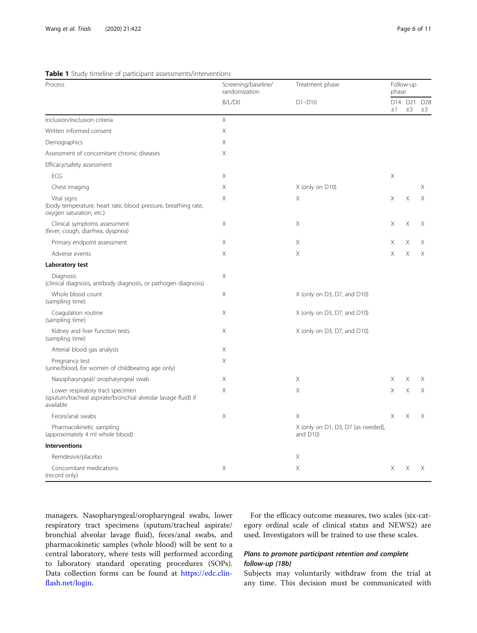### <span id="page-5-0"></span>Table 1 Study timeline of participant assessments/interventions

| Process                                                                                                        | Screening/baseline/<br>randomization | Treatment phase                                | Follow-up<br>phase |                    |                            |
|----------------------------------------------------------------------------------------------------------------|--------------------------------------|------------------------------------------------|--------------------|--------------------|----------------------------|
|                                                                                                                | B/L/DO                               | $D1-D10$                                       | $\pm 1$            | D14 D21<br>$\pm 3$ | D <sub>28</sub><br>$\pm 3$ |
| Inclusion/exclusion criteria                                                                                   | $\times$                             |                                                |                    |                    |                            |
| Written informed consent                                                                                       | $\times$                             |                                                |                    |                    |                            |
| Demographics                                                                                                   | Χ                                    |                                                |                    |                    |                            |
| Assessment of concomitant chronic diseases                                                                     | Χ                                    |                                                |                    |                    |                            |
| Efficacy/safety assessment                                                                                     |                                      |                                                |                    |                    |                            |
| ECG                                                                                                            | X                                    |                                                | Χ                  |                    |                            |
| Chest imaging                                                                                                  | Χ                                    | X (only on D10)                                |                    |                    | Χ                          |
| Vital signs<br>(body temperature, heart rate, blood pressure, breathing rate,<br>oxygen saturation, etc.)      | Χ                                    | Χ                                              | X                  | Χ                  | Χ                          |
| Clinical symptoms assessment<br>(fever, cough, diarrhea, dyspnea)                                              | Χ                                    | Χ                                              | Χ                  | Χ                  | Χ                          |
| Primary endpoint assessment                                                                                    | Χ                                    | Χ                                              | Χ                  | Χ                  | Х                          |
| Adverse events                                                                                                 | Χ                                    | Χ                                              | X                  | X                  | Χ                          |
| Laboratory test                                                                                                |                                      |                                                |                    |                    |                            |
| Diagnosis<br>(clinical diagnosis, antibody diagnosis, or pathogen diagnosis)                                   | Χ                                    |                                                |                    |                    |                            |
| Whole blood count<br>(sampling time)                                                                           | Χ                                    | X (only on D3, D7, and D10)                    |                    |                    |                            |
| Coagulation routine<br>(sampling time)                                                                         | Χ                                    | X (only on D3, D7, and D10)                    |                    |                    |                            |
| Kidney and liver function tests<br>(sampling time)                                                             | Χ                                    | X (only on D3, D7, and D10)                    |                    |                    |                            |
| Arterial blood gas analysis                                                                                    | Χ                                    |                                                |                    |                    |                            |
| Pregnancy test<br>(urine/blood, for women of childbearing age only)                                            | Χ                                    |                                                |                    |                    |                            |
| Nasopharyngeal/ oropharyngeal swab                                                                             | Χ                                    | Χ                                              | Χ                  | Χ                  | Χ                          |
| Lower respiratory tract specimen<br>(sputum/tracheal aspirate/bronchial alveolar lavage fluid) if<br>available | Χ                                    | Χ                                              | Χ                  | Χ                  | X                          |
| Feces/anal swabs                                                                                               | Χ                                    | X                                              | Χ                  | Χ                  | X                          |
| Pharmacokinetic sampling<br>(approximately 4 ml whole blood)                                                   |                                      | X (only on D1, D3, D7 [as needed],<br>and D10) |                    |                    |                            |
| Interventions                                                                                                  |                                      |                                                |                    |                    |                            |
| Remdesivir/placebo                                                                                             |                                      | Χ                                              |                    |                    |                            |
| Concomitant medications<br>(record only)                                                                       | Χ                                    | Χ                                              | X                  | X                  | X                          |

managers. Nasopharyngeal/oropharyngeal swabs, lower respiratory tract specimens (sputum/tracheal aspirate/ bronchial alveolar lavage fluid), feces/anal swabs, and pharmacokinetic samples (whole blood) will be sent to a central laboratory, where tests will performed according to laboratory standard operating procedures (SOPs). Data collection forms can be found at [https://edc.clin](https://edc.clinflash.net/login)[flash.net/login.](https://edc.clinflash.net/login)

For the efficacy outcome measures, two scales (six-category ordinal scale of clinical status and NEWS2) are used. Investigators will be trained to use these scales.

### Plans to promote participant retention and complete follow-up {18b}

Subjects may voluntarily withdraw from the trial at any time. This decision must be communicated with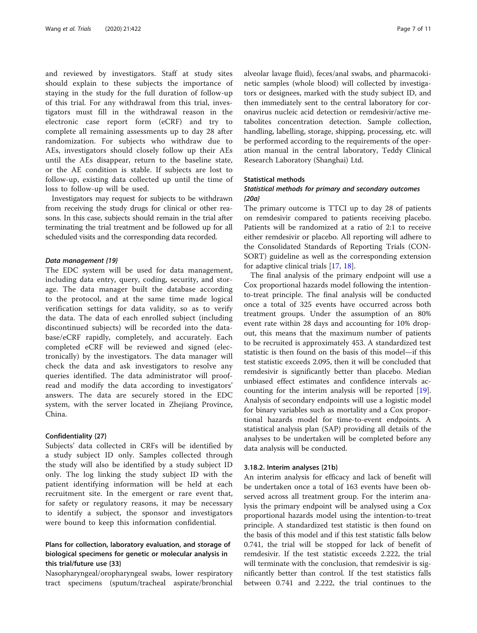and reviewed by investigators. Staff at study sites should explain to these subjects the importance of staying in the study for the full duration of follow-up of this trial. For any withdrawal from this trial, investigators must fill in the withdrawal reason in the electronic case report form (eCRF) and try to complete all remaining assessments up to day 28 after randomization. For subjects who withdraw due to AEs, investigators should closely follow up their AEs until the AEs disappear, return to the baseline state, or the AE condition is stable. If subjects are lost to follow-up, existing data collected up until the time of loss to follow-up will be used.

Investigators may request for subjects to be withdrawn from receiving the study drugs for clinical or other reasons. In this case, subjects should remain in the trial after terminating the trial treatment and be followed up for all scheduled visits and the corresponding data recorded.

#### Data management {19}

The EDC system will be used for data management, including data entry, query, coding, security, and storage. The data manager built the database according to the protocol, and at the same time made logical verification settings for data validity, so as to verify the data. The data of each enrolled subject (including discontinued subjects) will be recorded into the database/eCRF rapidly, completely, and accurately. Each completed eCRF will be reviewed and signed (electronically) by the investigators. The data manager will check the data and ask investigators to resolve any queries identified. The data administrator will proofread and modify the data according to investigators' answers. The data are securely stored in the EDC system, with the server located in Zhejiang Province, China.

#### Confidentiality {27}

Subjects' data collected in CRFs will be identified by a study subject ID only. Samples collected through the study will also be identified by a study subject ID only. The log linking the study subject ID with the patient identifying information will be held at each recruitment site. In the emergent or rare event that, for safety or regulatory reasons, it may be necessary to identify a subject, the sponsor and investigators were bound to keep this information confidential.

### Plans for collection, laboratory evaluation, and storage of biological specimens for genetic or molecular analysis in this trial/future use {33}

Nasopharyngeal/oropharyngeal swabs, lower respiratory tract specimens (sputum/tracheal aspirate/bronchial alveolar lavage fluid), feces/anal swabs, and pharmacokinetic samples (whole blood) will collected by investigators or designees, marked with the study subject ID, and then immediately sent to the central laboratory for coronavirus nucleic acid detection or remdesivir/active metabolites concentration detection. Sample collection, handling, labelling, storage, shipping, processing, etc. will be performed according to the requirements of the operation manual in the central laboratory, Teddy Clinical Research Laboratory (Shanghai) Ltd.

#### Statistical methods

### Statistical methods for primary and secondary outcomes {20a}

The primary outcome is TTCI up to day 28 of patients on remdesivir compared to patients receiving placebo. Patients will be randomized at a ratio of 2:1 to receive either remdesivir or placebo. All reporting will adhere to the Consolidated Standards of Reporting Trials (CON-SORT) guideline as well as the corresponding extension for adaptive clinical trials [\[17,](#page-10-0) [18\]](#page-10-0).

The final analysis of the primary endpoint will use a Cox proportional hazards model following the intentionto-treat principle. The final analysis will be conducted once a total of 325 events have occurred across both treatment groups. Under the assumption of an 80% event rate within 28 days and accounting for 10% dropout, this means that the maximum number of patients to be recruited is approximately 453. A standardized test statistic is then found on the basis of this model—if this test statistic exceeds 2.095, then it will be concluded that remdesivir is significantly better than placebo. Median unbiased effect estimates and confidence intervals accounting for the interim analysis will be reported [\[19](#page-10-0)]. Analysis of secondary endpoints will use a logistic model for binary variables such as mortality and a Cox proportional hazards model for time-to-event endpoints. A statistical analysis plan (SAP) providing all details of the analyses to be undertaken will be completed before any data analysis will be conducted.

#### 3.18.2. Interim analyses {21b}

An interim analysis for efficacy and lack of benefit will be undertaken once a total of 163 events have been observed across all treatment group. For the interim analysis the primary endpoint will be analysed using a Cox proportional hazards model using the intention-to-treat principle. A standardized test statistic is then found on the basis of this model and if this test statistic falls below 0.741, the trial will be stopped for lack of benefit of remdesivir. If the test statistic exceeds 2.222, the trial will terminate with the conclusion, that remdesivir is significantly better than control. If the test statistics falls between 0.741 and 2.222, the trial continues to the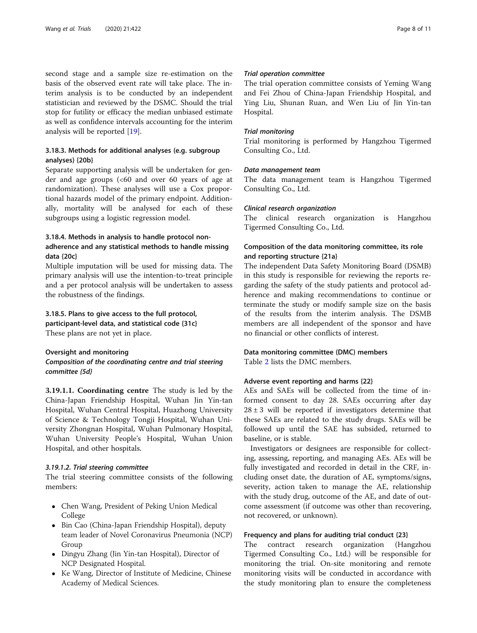second stage and a sample size re-estimation on the basis of the observed event rate will take place. The interim analysis is to be conducted by an independent statistician and reviewed by the DSMC. Should the trial stop for futility or efficacy the median unbiased estimate as well as confidence intervals accounting for the interim analysis will be reported [[19\]](#page-10-0).

### 3.18.3. Methods for additional analyses (e.g. subgroup analyses) {20b}

Separate supporting analysis will be undertaken for gender and age groups (<60 and over 60 years of age at randomization). These analyses will use a Cox proportional hazards model of the primary endpoint. Additionally, mortality will be analysed for each of these subgroups using a logistic regression model.

### 3.18.4. Methods in analysis to handle protocol nonadherence and any statistical methods to handle missing data {20c}

Multiple imputation will be used for missing data. The primary analysis will use the intention-to-treat principle and a per protocol analysis will be undertaken to assess the robustness of the findings.

### 3.18.5. Plans to give access to the full protocol, participant-level data, and statistical code {31c} These plans are not yet in place.

#### Oversight and monitoring

Composition of the coordinating centre and trial steering committee {5d}

3.19.1.1. Coordinating centre The study is led by the China-Japan Friendship Hospital, Wuhan Jin Yin-tan Hospital, Wuhan Central Hospital, Huazhong University of Science & Technology Tongji Hospital, Wuhan University Zhongnan Hospital, Wuhan Pulmonary Hospital, Wuhan University People's Hospital, Wuhan Union Hospital, and other hospitals.

### 3.19.1.2. Trial steering committee

The trial steering committee consists of the following members:

- Chen Wang, President of Peking Union Medical College
- Bin Cao (China-Japan Friendship Hospital), deputy team leader of Novel Coronavirus Pneumonia (NCP) Group
- Dingyu Zhang (Jin Yin-tan Hospital), Director of NCP Designated Hospital.
- Ke Wang, Director of Institute of Medicine, Chinese Academy of Medical Sciences.

### Trial operation committee

The trial operation committee consists of Yeming Wang and Fei Zhou of China-Japan Friendship Hospital, and Ying Liu, Shunan Ruan, and Wen Liu of Jin Yin-tan Hospital.

### Trial monitoring

Trial monitoring is performed by Hangzhou Tigermed Consulting Co., Ltd.

### Data management team

The data management team is Hangzhou Tigermed Consulting Co., Ltd.

#### Clinical research organization

The clinical research organization is Hangzhou Tigermed Consulting Co., Ltd.

### Composition of the data monitoring committee, its role and reporting structure {21a}

The independent Data Safety Monitoring Board (DSMB) in this study is responsible for reviewing the reports regarding the safety of the study patients and protocol adherence and making recommendations to continue or terminate the study or modify sample size on the basis of the results from the interim analysis. The DSMB members are all independent of the sponsor and have no financial or other conflicts of interest.

#### Data monitoring committee (DMC) members

Table [2](#page-8-0) lists the DMC members.

### Adverse event reporting and harms {22}

AEs and SAEs will be collected from the time of informed consent to day 28. SAEs occurring after day  $28 \pm 3$  will be reported if investigators determine that these SAEs are related to the study drugs. SAEs will be followed up until the SAE has subsided, returned to baseline, or is stable.

Investigators or designees are responsible for collecting, assessing, reporting, and managing AEs. AEs will be fully investigated and recorded in detail in the CRF, including onset date, the duration of AE, symptoms/signs, severity, action taken to manage the AE, relationship with the study drug, outcome of the AE, and date of outcome assessment (if outcome was other than recovering, not recovered, or unknown).

#### Frequency and plans for auditing trial conduct {23}

The contract research organization (Hangzhou Tigermed Consulting Co., Ltd.) will be responsible for monitoring the trial. On-site monitoring and remote monitoring visits will be conducted in accordance with the study monitoring plan to ensure the completeness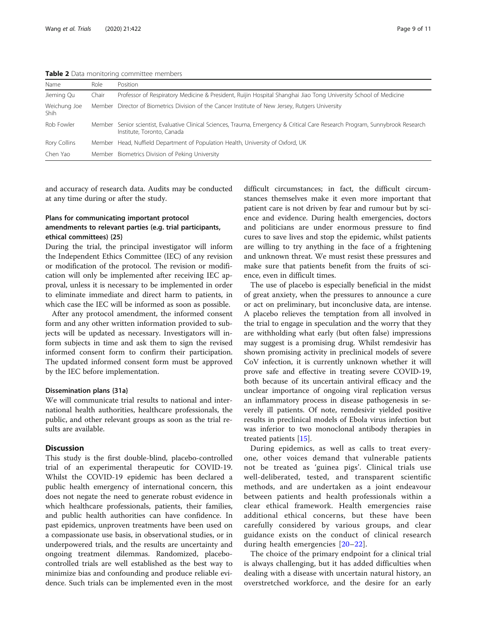<span id="page-8-0"></span>Table 2 Data monitoring committee members

| Name                        | Role  | Position                                                                                                                                                     |
|-----------------------------|-------|--------------------------------------------------------------------------------------------------------------------------------------------------------------|
| Jieming Qu                  | Chair | Professor of Respiratory Medicine & President, Ruijin Hospital Shanghai Jiao Tong University School of Medicine                                              |
| Weichung Joe<br><b>Shih</b> |       | Member Director of Biometrics Division of the Cancer Institute of New Jersey, Rutgers University                                                             |
| Rob Fowler                  |       | Member Senior scientist, Evaluative Clinical Sciences, Trauma, Emergency & Critical Care Research Program, Sunnybrook Research<br>Institute, Toronto, Canada |
| Rory Collins                |       | Member Head, Nuffield Department of Population Health, University of Oxford, UK                                                                              |
| Chen Yao                    |       | Member Biometrics Division of Peking University                                                                                                              |

and accuracy of research data. Audits may be conducted at any time during or after the study.

### Plans for communicating important protocol amendments to relevant parties (e.g. trial participants, ethical committees) {25}

During the trial, the principal investigator will inform the Independent Ethics Committee (IEC) of any revision or modification of the protocol. The revision or modification will only be implemented after receiving IEC approval, unless it is necessary to be implemented in order to eliminate immediate and direct harm to patients, in which case the IEC will be informed as soon as possible.

After any protocol amendment, the informed consent form and any other written information provided to subjects will be updated as necessary. Investigators will inform subjects in time and ask them to sign the revised informed consent form to confirm their participation. The updated informed consent form must be approved by the IEC before implementation.

#### Dissemination plans {31a}

We will communicate trial results to national and international health authorities, healthcare professionals, the public, and other relevant groups as soon as the trial results are available.

### **Discussion**

This study is the first double-blind, placebo-controlled trial of an experimental therapeutic for COVID-19. Whilst the COVID-19 epidemic has been declared a public health emergency of international concern, this does not negate the need to generate robust evidence in which healthcare professionals, patients, their families, and public health authorities can have confidence. In past epidemics, unproven treatments have been used on a compassionate use basis, in observational studies, or in underpowered trials, and the results are uncertainty and ongoing treatment dilemmas. Randomized, placebocontrolled trials are well established as the best way to minimize bias and confounding and produce reliable evidence. Such trials can be implemented even in the most

difficult circumstances; in fact, the difficult circumstances themselves make it even more important that patient care is not driven by fear and rumour but by science and evidence. During health emergencies, doctors and politicians are under enormous pressure to find cures to save lives and stop the epidemic, whilst patients are willing to try anything in the face of a frightening and unknown threat. We must resist these pressures and make sure that patients benefit from the fruits of science, even in difficult times.

The use of placebo is especially beneficial in the midst of great anxiety, when the pressures to announce a cure or act on preliminary, but inconclusive data, are intense. A placebo relieves the temptation from all involved in the trial to engage in speculation and the worry that they are withholding what early (but often false) impressions may suggest is a promising drug. Whilst remdesivir has shown promising activity in preclinical models of severe CoV infection, it is currently unknown whether it will prove safe and effective in treating severe COVID-19, both because of its uncertain antiviral efficacy and the unclear importance of ongoing viral replication versus an inflammatory process in disease pathogenesis in severely ill patients. Of note, remdesivir yielded positive results in preclinical models of Ebola virus infection but was inferior to two monoclonal antibody therapies in treated patients [\[15](#page-10-0)].

During epidemics, as well as calls to treat everyone, other voices demand that vulnerable patients not be treated as 'guinea pigs'. Clinical trials use well-deliberated, tested, and transparent scientific methods, and are undertaken as a joint endeavour between patients and health professionals within a clear ethical framework. Health emergencies raise additional ethical concerns, but these have been carefully considered by various groups, and clear guidance exists on the conduct of clinical research during health emergencies [[20](#page-10-0)–[22](#page-10-0)].

The choice of the primary endpoint for a clinical trial is always challenging, but it has added difficulties when dealing with a disease with uncertain natural history, an overstretched workforce, and the desire for an early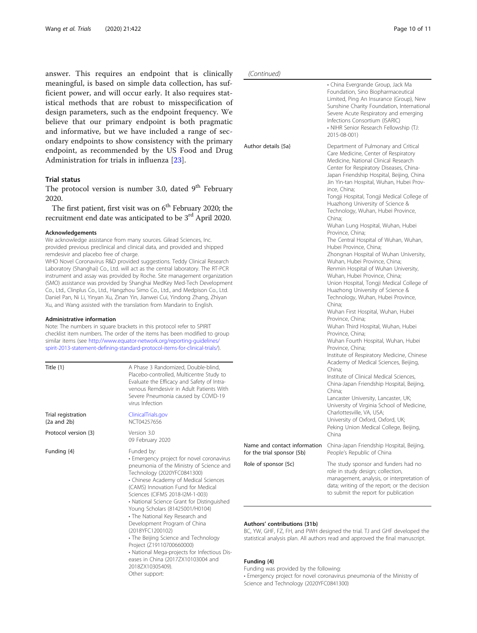answer. This requires an endpoint that is clinically meaningful, is based on simple data collection, has sufficient power, and will occur early. It also requires statistical methods that are robust to misspecification of design parameters, such as the endpoint frequency. We believe that our primary endpoint is both pragmatic and informative, but we have included a range of secondary endpoints to show consistency with the primary endpoint, as recommended by the US Food and Drug Administration for trials in influenza [[23\]](#page-10-0).

### Trial status

The protocol version is number 3.0, dated  $9<sup>th</sup>$  February 2020.

The first patient, first visit was on  $6<sup>th</sup>$  February 2020; the recruitment end date was anticipated to be 3<sup>rd</sup> April 2020.

#### Acknowledgements

We acknowledge assistance from many sources. Gilead Sciences, Inc. provided previous preclinical and clinical data, and provided and shipped remdesivir and placebo free of charge.

WHO Novel Coronavirus R&D provided suggestions. Teddy Clinical Research Laboratory (Shanghai) Co., Ltd. will act as the central laboratory. The RT-PCR instrument and assay was provided by Roche. Site management organization (SMO) assistance was provided by Shanghai MedKey Med-Tech Development Co., Ltd., Clinplus Co., Ltd., Hangzhou Simo Co., Ltd., and Medpison Co., Ltd. Daniel Pan, Ni Li, Yinyan Xu, Zinan Yin, Jianwei Cui, Yindong Zhang, Zhiyan Xu, and Wang assisted with the translation from Mandarin to English.

#### Administrative information

Note: The numbers in square brackets in this protocol refer to SPIRIT checklist item numbers. The order of the items has been modified to group similar items (see [http://www.equator-network.org/reporting-guidelines/](http://www.equator-network.org/reporting-guidelines/spirit-2013-statement-defining-standard-protocol-items-for-clinical-trials/) [spirit-2013-statement-defining-standard-protocol-items-for-clinical-trials/](http://www.equator-network.org/reporting-guidelines/spirit-2013-statement-defining-standard-protocol-items-for-clinical-trials/)).

| Title $\{1\}$                           | A Phase 3 Randomized, Double-blind,<br>Placebo-controlled, Multicentre Study to<br>Evaluate the Efficacy and Safety of Intra-<br>venous Remdesivir in Adult Patients With<br>Severe Pneumonia caused by COVID-19<br>virus Infection                                                                                                                                                                                                                                                                                                                                                                                           |
|-----------------------------------------|-------------------------------------------------------------------------------------------------------------------------------------------------------------------------------------------------------------------------------------------------------------------------------------------------------------------------------------------------------------------------------------------------------------------------------------------------------------------------------------------------------------------------------------------------------------------------------------------------------------------------------|
| Trial registration<br>${2a}$ and $2b$ } | ClinicalTrials.gov<br>NCT04257656                                                                                                                                                                                                                                                                                                                                                                                                                                                                                                                                                                                             |
| Protocol version {3}                    | Version 3.0<br>09 February 2020                                                                                                                                                                                                                                                                                                                                                                                                                                                                                                                                                                                               |
| Funding {4}                             | Funded by:<br>• Emergency project for novel coronavirus<br>pneumonia of the Ministry of Science and<br>Technology (2020YFC0841300)<br>• Chinese Academy of Medical Sciences<br>(CAMS) Innovation Fund for Medical<br>Sciences (CIFMS 2018-I2M-1-003)<br>• National Science Grant for Distinguished<br>Young Scholars (81425001/H0104)<br>• The National Key Research and<br>Development Program of China<br>(2018YFC1200102)<br>· The Beijing Science and Technology<br>Project (Z19110700660000)<br>• National Mega-projects for Infectious Dis-<br>eases in China (2017ZX10103004 and<br>2018ZX10305409).<br>Other support: |

#### (Continued)

|                                                            | • China Evergrande Group, Jack Ma<br>Foundation, Sino Biopharmaceutical<br>Limited, Ping An Insurance (Group), New<br>Sunshine Charity Foundation, International<br>Severe Acute Respiratory and emerging<br>Infections Consortium (ISARIC)<br>· NIHR Senior Research Fellowship (TJ:<br>2015-08-001)                                                                                                                                                                                                                                                                                                                                                                                                                                                                                                                                                                                                                                                                                                                                                                                                                                                                                                                                                                                                                                                                                                                    |
|------------------------------------------------------------|--------------------------------------------------------------------------------------------------------------------------------------------------------------------------------------------------------------------------------------------------------------------------------------------------------------------------------------------------------------------------------------------------------------------------------------------------------------------------------------------------------------------------------------------------------------------------------------------------------------------------------------------------------------------------------------------------------------------------------------------------------------------------------------------------------------------------------------------------------------------------------------------------------------------------------------------------------------------------------------------------------------------------------------------------------------------------------------------------------------------------------------------------------------------------------------------------------------------------------------------------------------------------------------------------------------------------------------------------------------------------------------------------------------------------|
| Author details {5a}                                        | Department of Pulmonary and Critical<br>Care Medicine, Center of Respiratory<br>Medicine, National Clinical Research<br>Center for Respiratory Diseases, China-<br>Japan Friendship Hospital, Beijing, China<br>Jin Yin-tan Hospital, Wuhan, Hubei Prov-<br>ince, China;<br>Tongji Hospital, Tongji Medical College of<br>Huazhong University of Science &<br>Technology, Wuhan, Hubei Province,<br>China;<br>Wuhan Lung Hospital, Wuhan, Hubei<br>Province, China;<br>The Central Hospital of Wuhan, Wuhan,<br>Hubei Province, China;<br>Zhongnan Hospital of Wuhan University,<br>Wuhan, Hubei Province, China;<br>Renmin Hospital of Wuhan University,<br>Wuhan, Hubei Province, China;<br>Union Hospital, Tongji Medical College of<br>Huazhong University of Science &<br>Technology, Wuhan, Hubei Province,<br>China;<br>Wuhan First Hospital, Wuhan, Hubei<br>Province, China;<br>Wuhan Third Hospital, Wuhan, Hubei<br>Province, China;<br>Wuhan Fourth Hospital, Wuhan, Hubei<br>Province, China;<br>Institute of Respiratory Medicine, Chinese<br>Academy of Medical Sciences, Beijing,<br>China;<br>Institute of Clinical Medical Sciences,<br>China-Japan Friendship Hospital, Beijing,<br>China;<br>Lancaster University, Lancaster, UK;<br>University of Virginia School of Medicine,<br>Charlottesville, VA, USA;<br>University of Oxford, Oxford, UK;<br>Peking Union Medical College, Beijing,<br>China |
| Name and contact information<br>for the trial sponsor {5b} | China-Japan Friendship Hospital, Beijing,<br>People's Republic of China                                                                                                                                                                                                                                                                                                                                                                                                                                                                                                                                                                                                                                                                                                                                                                                                                                                                                                                                                                                                                                                                                                                                                                                                                                                                                                                                                  |
| Role of sponsor {5c}                                       | The study sponsor and funders had no<br>role in study design; collection,<br>management, analysis, or interpretation of<br>data; writing of the report; or the decision<br>to submit the report for publication                                                                                                                                                                                                                                                                                                                                                                                                                                                                                                                                                                                                                                                                                                                                                                                                                                                                                                                                                                                                                                                                                                                                                                                                          |

#### Authors' contributions {31b}

BC, YW, GHF, FZ, FH, and PWH designed the trial. TJ and GHF developed the statistical analysis plan. All authors read and approved the final manuscript.

### Funding {4}

Funding was provided by the following:

• Emergency project for novel coronavirus pneumonia of the Ministry of Science and Technology (2020YFC0841300)